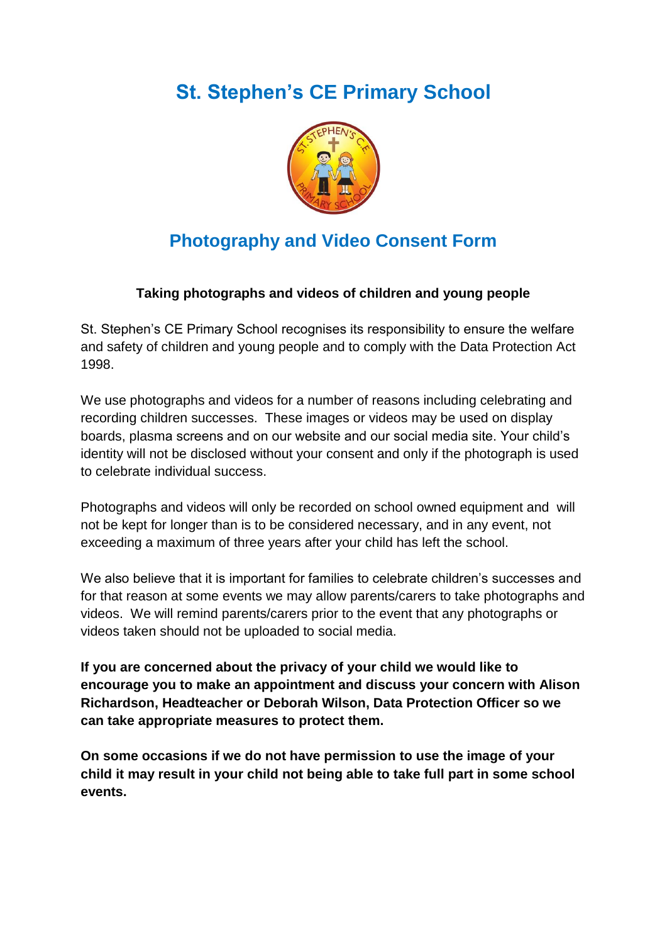# **[St. Stephen's](mailto:S.Stephen@s) CE Primary School**



## **Photography and Video Consent Form**

### **Taking photographs and videos of children and young people**

St. Stephen's CE Primary School recognises its responsibility to ensure the welfare and safety of children and young people and to comply with the Data Protection Act 1998.

We use photographs and videos for a number of reasons including celebrating and recording children successes. These images or videos may be used on display boards, plasma screens and on our website and our social media site. Your child's identity will not be disclosed without your consent and only if the photograph is used to celebrate individual success.

Photographs and videos will only be recorded on school owned equipment and will not be kept for longer than is to be considered necessary, and in any event, not exceeding a maximum of three years after your child has left the school.

We also believe that it is important for families to celebrate children's successes and for that reason at some events we may allow parents/carers to take photographs and videos. We will remind parents/carers prior to the event that any photographs or videos taken should not be uploaded to social media.

**If you are concerned about the privacy of your child we would like to encourage you to make an appointment and discuss your concern with Alison Richardson, Headteacher or Deborah Wilson, Data Protection Officer so we can take appropriate measures to protect them.**

**On some occasions if we do not have permission to use the image of your child it may result in your child not being able to take full part in some school events.**